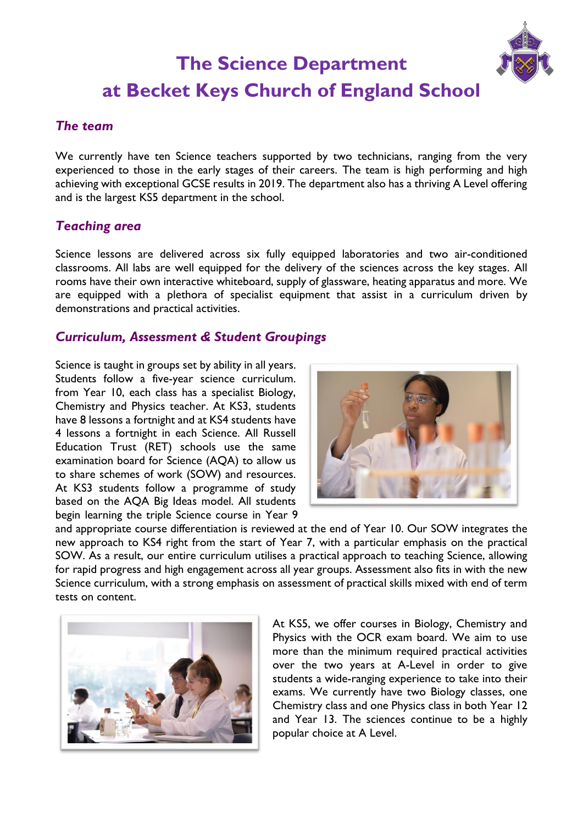# **The Science Department at Becket Keys Church of England School**

#### *The team*

We currently have ten Science teachers supported by two technicians, ranging from the very experienced to those in the early stages of their careers. The team is high performing and high achieving with exceptional GCSE results in 2019. The department also has a thriving A Level offering and is the largest KS5 department in the school.

#### *Teaching area*

Science lessons are delivered across six fully equipped laboratories and two air-conditioned classrooms. All labs are well equipped for the delivery of the sciences across the key stages. All rooms have their own interactive whiteboard, supply of glassware, heating apparatus and more. We are equipped with a plethora of specialist equipment that assist in a curriculum driven by demonstrations and practical activities.

### *Curriculum, Assessment & Student Groupings*

Science is taught in groups set by ability in all years. Students follow a five-year science curriculum. from Year 10, each class has a specialist Biology, Chemistry and Physics teacher. At KS3, students have 8 lessons a fortnight and at KS4 students have 4 lessons a fortnight in each Science. All Russell Education Trust (RET) schools use the same examination board for Science (AQA) to allow us to share schemes of work (SOW) and resources. At KS3 students follow a programme of study based on the AQA Big Ideas model. All students begin learning the triple Science course in Year 9



and appropriate course differentiation is reviewed at the end of Year 10. Our SOW integrates the new approach to KS4 right from the start of Year 7, with a particular emphasis on the practical SOW. As a result, our entire curriculum utilises a practical approach to teaching Science, allowing for rapid progress and high engagement across all year groups. Assessment also fits in with the new Science curriculum, with a strong emphasis on assessment of practical skills mixed with end of term tests on content.



At KS5, we offer courses in Biology, Chemistry and Physics with the OCR exam board. We aim to use more than the minimum required practical activities over the two years at A-Level in order to give students a wide-ranging experience to take into their exams. We currently have two Biology classes, one Chemistry class and one Physics class in both Year 12 and Year 13. The sciences continue to be a highly popular choice at A Level.